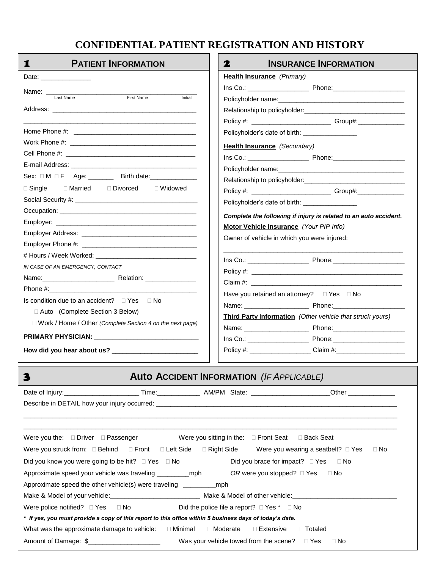## **CONFIDENTIAL PATIENT REGISTRATION AND HISTORY**

| <b>PATIENT INFORMATION</b><br>1                                                                                                                                                                                                | <b>INSURANCE INFORMATION</b><br>2                                |
|--------------------------------------------------------------------------------------------------------------------------------------------------------------------------------------------------------------------------------|------------------------------------------------------------------|
| Date: ________________                                                                                                                                                                                                         | <b>Health Insurance</b> (Primary)                                |
| Name: __                                                                                                                                                                                                                       |                                                                  |
| Last Name<br>First Name<br>Initial                                                                                                                                                                                             |                                                                  |
|                                                                                                                                                                                                                                |                                                                  |
|                                                                                                                                                                                                                                |                                                                  |
|                                                                                                                                                                                                                                | Policyholder's date of birth: <b>Notify</b>                      |
|                                                                                                                                                                                                                                | Health Insurance (Secondary)                                     |
|                                                                                                                                                                                                                                |                                                                  |
|                                                                                                                                                                                                                                |                                                                  |
| Sex: $\square M \square F$ Age: ________ Birth date: _____________                                                                                                                                                             |                                                                  |
| $\Box$ Single<br>$\Box$ Married $\Box$ Divorced<br>⊟ Widowed                                                                                                                                                                   |                                                                  |
|                                                                                                                                                                                                                                | Policyholder's date of birth: _________________                  |
|                                                                                                                                                                                                                                | Complete the following if injury is related to an auto accident. |
|                                                                                                                                                                                                                                | Motor Vehicle Insurance (Your PIP Info)                          |
|                                                                                                                                                                                                                                | Owner of vehicle in which you were injured:                      |
|                                                                                                                                                                                                                                |                                                                  |
|                                                                                                                                                                                                                                |                                                                  |
| IN CASE OF AN EMERGENCY, CONTACT                                                                                                                                                                                               |                                                                  |
|                                                                                                                                                                                                                                |                                                                  |
| Phone #: the contract of the contract of the contract of the contract of the contract of the contract of the contract of the contract of the contract of the contract of the contract of the contract of the contract of the c |                                                                  |
| Is condition due to an accident? $\Box$ Yes<br>$\Box$ No                                                                                                                                                                       | Name: Phone: Phone:                                              |
| □ Auto (Complete Section 3 Below)                                                                                                                                                                                              | Third Party Information (Other vehicle that struck yours)        |
| $\Box$ Work / Home / Other (Complete Section 4 on the next page)                                                                                                                                                               |                                                                  |
|                                                                                                                                                                                                                                |                                                                  |
|                                                                                                                                                                                                                                |                                                                  |
|                                                                                                                                                                                                                                |                                                                  |
|                                                                                                                                                                                                                                | <b>Auto Accident Information (IF APPLICABLE)</b>                 |

|                                                                                                                         |  |  |  | Other _______________                                       |
|-------------------------------------------------------------------------------------------------------------------------|--|--|--|-------------------------------------------------------------|
|                                                                                                                         |  |  |  |                                                             |
|                                                                                                                         |  |  |  |                                                             |
|                                                                                                                         |  |  |  |                                                             |
| Were you the: □ Driver □ Passenger Were you sitting in the: □ Front Seat □ Back Seat                                    |  |  |  |                                                             |
| Were you struck from: □ Behind □ Front □ Left Side □ Right Side Were you wearing a seatbelt? □ Yes                      |  |  |  | ⊟ No                                                        |
| Did you know you were going to be hit? □ Yes □ No                                                                       |  |  |  | Did you brace for impact? $\Box$ Yes $\Box$ No              |
|                                                                                                                         |  |  |  |                                                             |
| Approximate speed the other vehicle(s) were traveling ____________ mph                                                  |  |  |  |                                                             |
|                                                                                                                         |  |  |  |                                                             |
| Were police notified? $\square$ Yes $\square$ No $\square$ Did the police file a report? $\square$ Yes $*$ $\square$ No |  |  |  |                                                             |
| * If yes, you must provide a copy of this report to this office within 5 business days of today's date.                 |  |  |  |                                                             |
| What was the approximate damage to vehicle: $\Box$ Minimal $\Box$ Moderate                                              |  |  |  | $\Box$ Extensive $\Box$ Totaled                             |
| Amount of Damage: \$                                                                                                    |  |  |  | Was your vehicle towed from the scene? $\Box$ Yes $\Box$ No |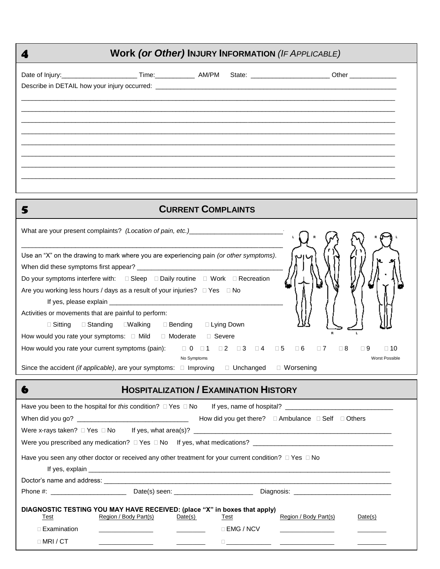| <b>Work (or Other) INJURY INFORMATION (IF APPLICABLE)</b> |  |  |  |  |
|-----------------------------------------------------------|--|--|--|--|
|                                                           |  |  |  |  |
|                                                           |  |  |  |  |
|                                                           |  |  |  |  |
|                                                           |  |  |  |  |
|                                                           |  |  |  |  |

| <b>CURRENT COMPLAINTS</b>                                                                                                                                                                                                                                                                                                                                                                                                                                                                                                                          |
|----------------------------------------------------------------------------------------------------------------------------------------------------------------------------------------------------------------------------------------------------------------------------------------------------------------------------------------------------------------------------------------------------------------------------------------------------------------------------------------------------------------------------------------------------|
| What are your present complaints? (Location of pain, etc.)                                                                                                                                                                                                                                                                                                                                                                                                                                                                                         |
| Use an "X" on the drawing to mark where you are experiencing pain (or other symptoms).<br>Do your symptoms interfere with: $\square$ Sleep $\square$ Daily routine $\square$ Work $\square$ Recreation<br>Are you working less hours / days as a result of your injuries? $\square$ Yes $\square$ No<br>Activities or movements that are painful to perform:<br>$\square$ Walking<br>$\Box$ Lying Down<br>$\square$ Sitting<br>$\Box$ Standing<br>$\Box$ Bending<br>How would you rate your symptoms: $\Box$ Mild $\Box$ Moderate<br>$\Box$ Severe |
| How would you rate your current symptoms (pain):<br>$\Box$ 0 $\Box$ 1 $\Box$ 2 $\Box$ 3 $\Box$ 4 $\Box$ 5 $\Box$ 6 $\Box$ 7<br>$\Box$ 10<br>$\Box$ 8<br>$\Box$ 9                                                                                                                                                                                                                                                                                                                                                                                   |
| <b>Worst Possible</b><br>No Symptoms<br>$\Box$ Worsening<br>Since the accident <i>(if applicable)</i> , are your symptoms: $\Box$ Improving<br>$\Box$ Unchanged                                                                                                                                                                                                                                                                                                                                                                                    |

# 6 **HOSPITALIZATION / EXAMINATION HISTORY**

|                                                                                                                 |                                                                                                                                                                                                                                      |         | How did you get there? $\Box$ Ambulance $\Box$ Self $\Box$ Others |                       |         |
|-----------------------------------------------------------------------------------------------------------------|--------------------------------------------------------------------------------------------------------------------------------------------------------------------------------------------------------------------------------------|---------|-------------------------------------------------------------------|-----------------------|---------|
|                                                                                                                 |                                                                                                                                                                                                                                      |         |                                                                   |                       |         |
|                                                                                                                 |                                                                                                                                                                                                                                      |         |                                                                   |                       |         |
| Have you seen any other doctor or received any other treatment for your current condition? $\Box$ Yes $\Box$ No |                                                                                                                                                                                                                                      |         |                                                                   |                       |         |
|                                                                                                                 |                                                                                                                                                                                                                                      |         |                                                                   |                       |         |
|                                                                                                                 |                                                                                                                                                                                                                                      |         |                                                                   |                       |         |
|                                                                                                                 |                                                                                                                                                                                                                                      |         |                                                                   |                       |         |
| DIAGNOSTIC TESTING YOU MAY HAVE RECEIVED: (place "X" in boxes that apply)                                       |                                                                                                                                                                                                                                      |         |                                                                   |                       |         |
| Test                                                                                                            | Region / Body Part(s)                                                                                                                                                                                                                | Date(s) | Test                                                              | Region / Body Part(s) | Date(s) |
| $\Box$ Examination                                                                                              | <u> 1980 - Johann Harry Harry Barnett, amerikan bisa pada 2001 - pada 2001 - pada 2001 - pada 2001 - pada 2001 - pada 2001 - pada 2001 - pada 2001 - pada 2001 - pada 2001 - pada 2001 - pada 2001 - pada 2001 - pada 2001 - pad</u> |         | □ EMG / NCV                                                       |                       |         |
| $\Box$ MRI / CT                                                                                                 |                                                                                                                                                                                                                                      |         |                                                                   |                       |         |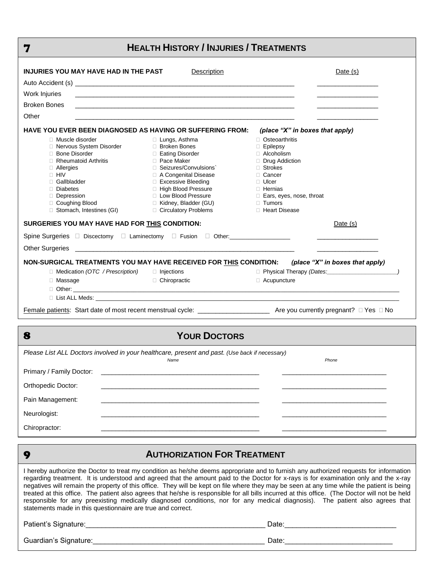| 7                                                           | <b>HEALTH HISTORY / INJURIES / TREATMENTS</b>                                                  |                                                                                                                                                                                                                                                                                                                                                                                                                                                                                                                                                                                                                                                                                                                |  |
|-------------------------------------------------------------|------------------------------------------------------------------------------------------------|----------------------------------------------------------------------------------------------------------------------------------------------------------------------------------------------------------------------------------------------------------------------------------------------------------------------------------------------------------------------------------------------------------------------------------------------------------------------------------------------------------------------------------------------------------------------------------------------------------------------------------------------------------------------------------------------------------------|--|
| INJURIES YOU MAY HAVE HAD IN THE PAST                       | Description                                                                                    | Date (s)                                                                                                                                                                                                                                                                                                                                                                                                                                                                                                                                                                                                                                                                                                       |  |
|                                                             |                                                                                                |                                                                                                                                                                                                                                                                                                                                                                                                                                                                                                                                                                                                                                                                                                                |  |
| Work Injuries                                               |                                                                                                |                                                                                                                                                                                                                                                                                                                                                                                                                                                                                                                                                                                                                                                                                                                |  |
| <b>Broken Bones</b>                                         |                                                                                                |                                                                                                                                                                                                                                                                                                                                                                                                                                                                                                                                                                                                                                                                                                                |  |
|                                                             |                                                                                                |                                                                                                                                                                                                                                                                                                                                                                                                                                                                                                                                                                                                                                                                                                                |  |
| Other                                                       |                                                                                                |                                                                                                                                                                                                                                                                                                                                                                                                                                                                                                                                                                                                                                                                                                                |  |
|                                                             | <b>HAVE YOU EVER BEEN DIAGNOSED AS HAVING OR SUFFERING FROM:</b>                               | (place "X" in boxes that apply)                                                                                                                                                                                                                                                                                                                                                                                                                                                                                                                                                                                                                                                                                |  |
| □ Muscle disorder<br>□ Nervous System Disorder              | $\Box$ Lungs, Asthma<br>□ Broken Bones                                                         | □ Osteoarthritis<br>$\Box$ Epilepsy                                                                                                                                                                                                                                                                                                                                                                                                                                                                                                                                                                                                                                                                            |  |
| □ Bone Disorder                                             | <b>Eating Disorder</b>                                                                         | $\Box$ Alcoholism                                                                                                                                                                                                                                                                                                                                                                                                                                                                                                                                                                                                                                                                                              |  |
| $\Box$ Rheumatoid Arthritis                                 | □ Pace Maker                                                                                   | Drug Addiction                                                                                                                                                                                                                                                                                                                                                                                                                                                                                                                                                                                                                                                                                                 |  |
| $\Box$ Allergies                                            | □ Seizures/Convulsions                                                                         | □ Strokes                                                                                                                                                                                                                                                                                                                                                                                                                                                                                                                                                                                                                                                                                                      |  |
| $\Box$ HIV                                                  | □ A Congenital Disease                                                                         | □ Cancer                                                                                                                                                                                                                                                                                                                                                                                                                                                                                                                                                                                                                                                                                                       |  |
| □ Gallbladder                                               | □ Excessive Bleeding                                                                           | $\Box$ Ulcer                                                                                                                                                                                                                                                                                                                                                                                                                                                                                                                                                                                                                                                                                                   |  |
| Diabetes<br>Depression                                      | □ High Blood Pressure<br>□ Low Blood Pressure                                                  | □ Hernias                                                                                                                                                                                                                                                                                                                                                                                                                                                                                                                                                                                                                                                                                                      |  |
| □ Coughing Blood                                            | □ Kidney, Bladder (GU)                                                                         | $\Box$ Ears, eyes, nose, throat<br>$\Box$ Tumors                                                                                                                                                                                                                                                                                                                                                                                                                                                                                                                                                                                                                                                               |  |
| □ Stomach, Intestines (GI)                                  | □ Circulatory Problems                                                                         | □ Heart Disease                                                                                                                                                                                                                                                                                                                                                                                                                                                                                                                                                                                                                                                                                                |  |
| SURGERIES YOU MAY HAVE HAD FOR THIS CONDITION:              |                                                                                                | Date $(s)$                                                                                                                                                                                                                                                                                                                                                                                                                                                                                                                                                                                                                                                                                                     |  |
|                                                             | Spine Surgeries $\Box$ Discectomy $\Box$ Laminectomy $\Box$ Fusion $\Box$ Other:               |                                                                                                                                                                                                                                                                                                                                                                                                                                                                                                                                                                                                                                                                                                                |  |
|                                                             |                                                                                                |                                                                                                                                                                                                                                                                                                                                                                                                                                                                                                                                                                                                                                                                                                                |  |
|                                                             |                                                                                                |                                                                                                                                                                                                                                                                                                                                                                                                                                                                                                                                                                                                                                                                                                                |  |
|                                                             |                                                                                                | NON-SURGICAL TREATMENTS YOU MAY HAVE RECEIVED FOR THIS CONDITION: (place "X" in boxes that apply)                                                                                                                                                                                                                                                                                                                                                                                                                                                                                                                                                                                                              |  |
| □ Medication (OTC / Prescription)                           | $\Box$ Injections                                                                              |                                                                                                                                                                                                                                                                                                                                                                                                                                                                                                                                                                                                                                                                                                                |  |
| $\Box$ Massage                                              | □ Chiropractic                                                                                 | $\Box$ Acupuncture                                                                                                                                                                                                                                                                                                                                                                                                                                                                                                                                                                                                                                                                                             |  |
|                                                             |                                                                                                |                                                                                                                                                                                                                                                                                                                                                                                                                                                                                                                                                                                                                                                                                                                |  |
|                                                             | $\Box$ List ALL Meds: $\Box$                                                                   |                                                                                                                                                                                                                                                                                                                                                                                                                                                                                                                                                                                                                                                                                                                |  |
|                                                             |                                                                                                |                                                                                                                                                                                                                                                                                                                                                                                                                                                                                                                                                                                                                                                                                                                |  |
| 8                                                           | <b>YOUR DOCTORS</b>                                                                            |                                                                                                                                                                                                                                                                                                                                                                                                                                                                                                                                                                                                                                                                                                                |  |
|                                                             | Please List ALL Doctors involved in your healthcare, present and past. (Use back if necessary) |                                                                                                                                                                                                                                                                                                                                                                                                                                                                                                                                                                                                                                                                                                                |  |
|                                                             | Name                                                                                           | Phone                                                                                                                                                                                                                                                                                                                                                                                                                                                                                                                                                                                                                                                                                                          |  |
| Primary / Family Doctor:                                    |                                                                                                |                                                                                                                                                                                                                                                                                                                                                                                                                                                                                                                                                                                                                                                                                                                |  |
| Orthopedic Doctor:                                          |                                                                                                |                                                                                                                                                                                                                                                                                                                                                                                                                                                                                                                                                                                                                                                                                                                |  |
| Pain Management:                                            |                                                                                                |                                                                                                                                                                                                                                                                                                                                                                                                                                                                                                                                                                                                                                                                                                                |  |
| Neurologist:                                                |                                                                                                |                                                                                                                                                                                                                                                                                                                                                                                                                                                                                                                                                                                                                                                                                                                |  |
| Chiropractor:                                               |                                                                                                |                                                                                                                                                                                                                                                                                                                                                                                                                                                                                                                                                                                                                                                                                                                |  |
|                                                             |                                                                                                |                                                                                                                                                                                                                                                                                                                                                                                                                                                                                                                                                                                                                                                                                                                |  |
| 9                                                           | <b>AUTHORIZATION FOR TREATMENT</b>                                                             |                                                                                                                                                                                                                                                                                                                                                                                                                                                                                                                                                                                                                                                                                                                |  |
| statements made in this questionnaire are true and correct. |                                                                                                | I hereby authorize the Doctor to treat my condition as he/she deems appropriate and to furnish any authorized requests for information<br>regarding treatment. It is understood and agreed that the amount paid to the Doctor for x-rays is for examination only and the x-ray<br>negatives will remain the property of this office. They will be kept on file where they may be seen at any time while the patient is being<br>treated at this office. The patient also agrees that he/she is responsible for all bills incurred at this office. (The Doctor will not be held<br>responsible for any preexisting medically diagnosed conditions, nor for any medical diagnosis). The patient also agrees that |  |
|                                                             |                                                                                                |                                                                                                                                                                                                                                                                                                                                                                                                                                                                                                                                                                                                                                                                                                                |  |
| Guardian's Signature:                                       |                                                                                                |                                                                                                                                                                                                                                                                                                                                                                                                                                                                                                                                                                                                                                                                                                                |  |